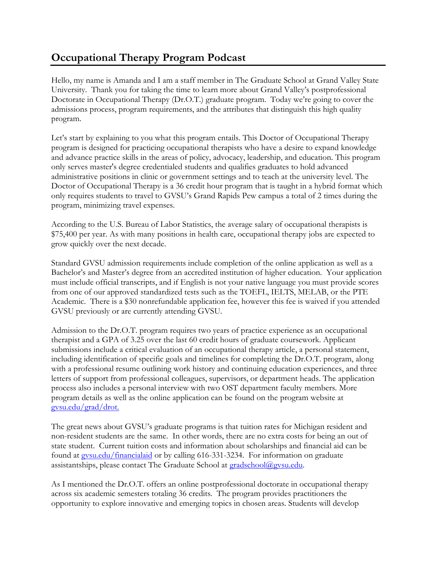## **Occupational Therapy Program Podcast**

Hello, my name is Amanda and I am a staff member in The Graduate School at Grand Valley State University. Thank you for taking the time to learn more about Grand Valley's postprofessional Doctorate in Occupational Therapy (Dr.O.T.) graduate program. Today we're going to cover the admissions process, program requirements, and the attributes that distinguish this high quality program.

Let's start by explaining to you what this program entails. This Doctor of Occupational Therapy program is designed for practicing occupational therapists who have a desire to expand knowledge and advance practice skills in the areas of policy, advocacy, leadership, and education. This program only serves master's degree credentialed students and qualifies graduates to hold advanced administrative positions in clinic or government settings and to teach at the university level. The Doctor of Occupational Therapy is a 36 credit hour program that is taught in a hybrid format which only requires students to travel to GVSU's Grand Rapids Pew campus a total of 2 times during the program, minimizing travel expenses.

According to the U.S. Bureau of Labor Statistics, the average salary of occupational therapists is \$75,400 per year. As with many positions in health care, occupational therapy jobs are expected to grow quickly over the next decade.

Standard GVSU admission requirements include completion of the online application as well as a Bachelor's and Master's degree from an accredited institution of higher education. Your application must include official transcripts, and if English is not your native language you must provide scores from one of our approved standardized tests such as the TOEFL, IELTS, MELAB, or the PTE Academic. There is a \$30 nonrefundable application fee, however this fee is waived if you attended GVSU previously or are currently attending GVSU.

Admission to the Dr.O.T. program requires two years of practice experience as an occupational therapist and a GPA of 3.25 over the last 60 credit hours of graduate coursework. Applicant submissions include a critical evaluation of an occupational therapy article, a personal statement, including identification of specific goals and timelines for completing the Dr.O.T. program, along with a professional resume outlining work history and continuing education experiences, and three letters of support from professional colleagues, supervisors, or department heads. The application process also includes a personal interview with two OST department faculty members. More program details as well as the online application can be found on the program website at [gvsu.edu/grad/drot.](http://www.gvsu.edu/grad/drot)

The great news about GVSU's graduate programs is that tuition rates for Michigan resident and non-resident students are the same. In other words, there are no extra costs for being an out of state student. Current tuition costs and information about scholarships and financial aid can be found at [gvsu.edu/financialaid](http://www.gvsu.edu/financialaid) or by calling 616-331-3234. For information on graduate assistantships, please contact The Graduate School at [gradschool@gvsu.edu.](mailto:gradschool@gvsu.edu)

As I mentioned the Dr.O.T. offers an online postprofessional doctorate in occupational therapy across six academic semesters totaling 36 credits. The program provides practitioners the opportunity to explore innovative and emerging topics in chosen areas. Students will develop